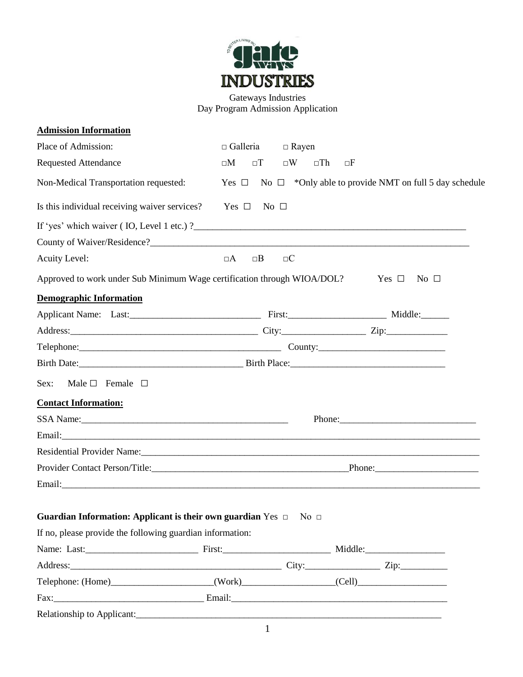

Gateways Industries Day Program Admission Application

| <b>Admission Information</b>                                                                                                                                                                                                   |                       |                             |            |                                                                       |  |
|--------------------------------------------------------------------------------------------------------------------------------------------------------------------------------------------------------------------------------|-----------------------|-----------------------------|------------|-----------------------------------------------------------------------|--|
| Place of Admission:                                                                                                                                                                                                            | $\Box$ Galleria       | $\Box$ Rayen                |            |                                                                       |  |
| <b>Requested Attendance</b>                                                                                                                                                                                                    | $\square M$<br>$\Box$ | $\square W$<br>$\square$ Th | $\Box F$   |                                                                       |  |
| Non-Medical Transportation requested:                                                                                                                                                                                          |                       |                             |            | Yes $\Box$ No $\Box$ *Only able to provide NMT on full 5 day schedule |  |
| Is this individual receiving waiver services?                                                                                                                                                                                  | Yes $\Box$            | No $\square$                |            |                                                                       |  |
| If 'yes' which waiver $($ IO, Level 1 etc. $)$ ?                                                                                                                                                                               |                       |                             |            |                                                                       |  |
|                                                                                                                                                                                                                                |                       |                             |            |                                                                       |  |
| <b>Acuity Level:</b>                                                                                                                                                                                                           | $\Box A$<br>$\Box B$  | $\square C$                 |            |                                                                       |  |
| Approved to work under Sub Minimum Wage certification through WIOA/DOL?                                                                                                                                                        |                       |                             | Yes $\Box$ | No $\Box$                                                             |  |
| <b>Demographic Information</b>                                                                                                                                                                                                 |                       |                             |            |                                                                       |  |
|                                                                                                                                                                                                                                |                       |                             |            |                                                                       |  |
|                                                                                                                                                                                                                                |                       |                             |            |                                                                       |  |
|                                                                                                                                                                                                                                |                       |                             |            |                                                                       |  |
| Birth Date: Birth Place:                                                                                                                                                                                                       |                       |                             |            |                                                                       |  |
| Male $\Box$ Female $\Box$<br>Sex:                                                                                                                                                                                              |                       |                             |            |                                                                       |  |
| <b>Contact Information:</b>                                                                                                                                                                                                    |                       |                             |            |                                                                       |  |
| SSA Name: 1988 Manner 2008 Manner 2008 Manner 2008 Manner 2008 Manner 2008 Manner 2008 Manner 2008 Manner 2008                                                                                                                 |                       |                             |            |                                                                       |  |
| Email: New York: New York: New York: New York: New York: New York: New York: New York: New York: New York: New York: New York: New York: New York: New York: New York: New York: New York: New York: New York: New York: New Y |                       |                             |            |                                                                       |  |
| Residential Provider Name: 1988 and 2008 and 2008 and 2008 and 2008 and 2008 and 2008 and 2008 and 2008 and 20                                                                                                                 |                       |                             |            |                                                                       |  |
|                                                                                                                                                                                                                                |                       |                             |            |                                                                       |  |
|                                                                                                                                                                                                                                |                       |                             |            |                                                                       |  |
| <b>Guardian Information: Applicant is their own guardian</b> Yes $\Box$ No $\Box$                                                                                                                                              |                       |                             |            |                                                                       |  |
| If no, please provide the following guardian information:                                                                                                                                                                      |                       |                             |            |                                                                       |  |
|                                                                                                                                                                                                                                |                       |                             |            |                                                                       |  |
|                                                                                                                                                                                                                                |                       |                             |            |                                                                       |  |
| Telephone: (Home)_______________________(Work)_________________(Cell)_______________________________                                                                                                                           |                       |                             |            |                                                                       |  |
|                                                                                                                                                                                                                                |                       |                             |            |                                                                       |  |
|                                                                                                                                                                                                                                |                       |                             |            |                                                                       |  |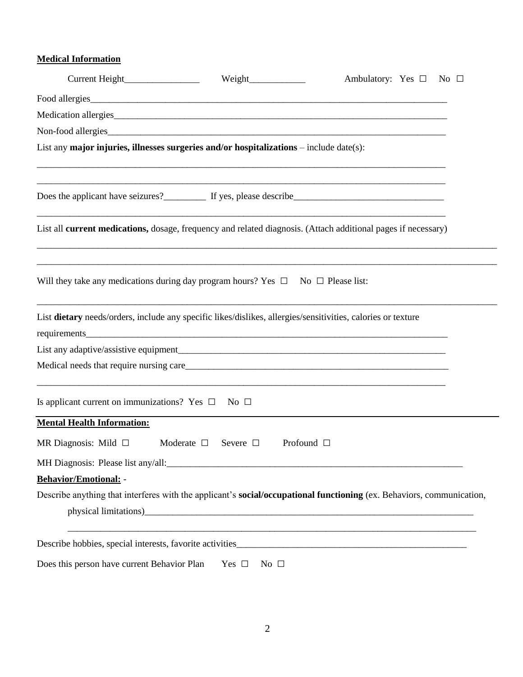## **Medical Information**

|                                                                                                              |                                     | Ambulatory: Yes $\square$<br>No $\Box$                                                                                |  |  |  |  |  |  |  |
|--------------------------------------------------------------------------------------------------------------|-------------------------------------|-----------------------------------------------------------------------------------------------------------------------|--|--|--|--|--|--|--|
|                                                                                                              |                                     |                                                                                                                       |  |  |  |  |  |  |  |
|                                                                                                              |                                     |                                                                                                                       |  |  |  |  |  |  |  |
| Non-food allergies                                                                                           |                                     |                                                                                                                       |  |  |  |  |  |  |  |
| List any major injuries, illnesses surgeries and/or hospitalizations $-$ include date(s):                    |                                     |                                                                                                                       |  |  |  |  |  |  |  |
|                                                                                                              |                                     |                                                                                                                       |  |  |  |  |  |  |  |
|                                                                                                              |                                     |                                                                                                                       |  |  |  |  |  |  |  |
|                                                                                                              |                                     | List all current medications, dosage, frequency and related diagnosis. (Attach additional pages if necessary)         |  |  |  |  |  |  |  |
| Will they take any medications during day program hours? Yes $\Box$ No $\Box$ Please list:                   |                                     |                                                                                                                       |  |  |  |  |  |  |  |
| List dietary needs/orders, include any specific likes/dislikes, allergies/sensitivities, calories or texture |                                     |                                                                                                                       |  |  |  |  |  |  |  |
|                                                                                                              |                                     |                                                                                                                       |  |  |  |  |  |  |  |
|                                                                                                              |                                     |                                                                                                                       |  |  |  |  |  |  |  |
|                                                                                                              |                                     |                                                                                                                       |  |  |  |  |  |  |  |
| Is applicant current on immunizations? Yes $\Box$ No $\Box$                                                  |                                     |                                                                                                                       |  |  |  |  |  |  |  |
| <b>Mental Health Information:</b>                                                                            |                                     |                                                                                                                       |  |  |  |  |  |  |  |
| MR Diagnosis: Mild $\Box$                                                                                    | Moderate $\square$<br>Severe $\Box$ | Profound $\Box$                                                                                                       |  |  |  |  |  |  |  |
|                                                                                                              |                                     |                                                                                                                       |  |  |  |  |  |  |  |
| Behavior/Emotional: -                                                                                        |                                     |                                                                                                                       |  |  |  |  |  |  |  |
|                                                                                                              |                                     | Describe anything that interferes with the applicant's social/occupational functioning (ex. Behaviors, communication, |  |  |  |  |  |  |  |
|                                                                                                              |                                     |                                                                                                                       |  |  |  |  |  |  |  |
|                                                                                                              |                                     | <u> 1989 - Johann Stoff, amerikan bestein de stad in de stad in de stad in de stad in de stad in de stad in de st</u> |  |  |  |  |  |  |  |
| Does this person have current Behavior Plan                                                                  | Yes $\Box$<br>No $\Box$             |                                                                                                                       |  |  |  |  |  |  |  |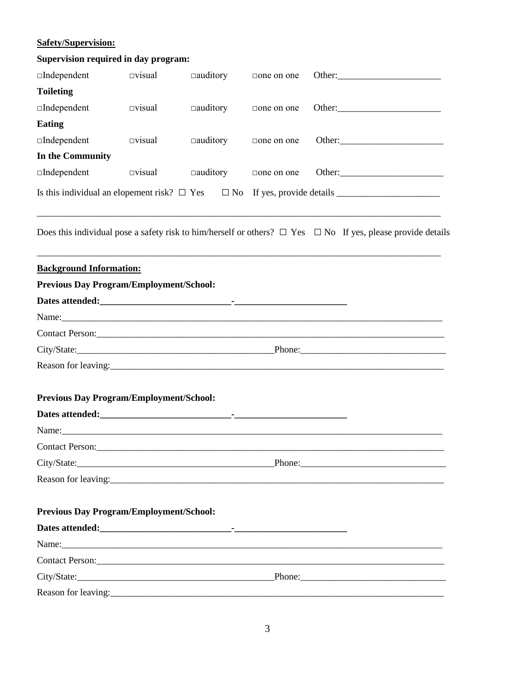## **Safety/Supervision:**

| <b>Supervision required in day program:</b>    |                  |                 |                   |                                                                                                                       |  |  |  |
|------------------------------------------------|------------------|-----------------|-------------------|-----------------------------------------------------------------------------------------------------------------------|--|--|--|
| $\Box$ Independent                             | $\square$ visual | $\Box$ auditory | $\Box$ one on one |                                                                                                                       |  |  |  |
| <b>Toileting</b>                               |                  |                 |                   |                                                                                                                       |  |  |  |
| $\square$ Independent                          | $\square$ visual | $\Box$ auditory | $\Box$ one on one |                                                                                                                       |  |  |  |
| <b>Eating</b>                                  |                  |                 |                   |                                                                                                                       |  |  |  |
| $\square$ Independent                          | $\square$ visual | $\Box$ auditory | $\Box$ one on one |                                                                                                                       |  |  |  |
| In the Community                               |                  |                 |                   |                                                                                                                       |  |  |  |
| $\square$ Independent                          | $\square$ visual | $\Box$ auditory | $\Box$ one on one |                                                                                                                       |  |  |  |
|                                                |                  |                 |                   |                                                                                                                       |  |  |  |
|                                                |                  |                 |                   | Does this individual pose a safety risk to him/herself or others? $\Box$ Yes $\Box$ No If yes, please provide details |  |  |  |
| <b>Background Information:</b>                 |                  |                 |                   |                                                                                                                       |  |  |  |
| <b>Previous Day Program/Employment/School:</b> |                  |                 |                   |                                                                                                                       |  |  |  |
|                                                |                  |                 |                   |                                                                                                                       |  |  |  |
|                                                |                  |                 |                   | Name: Name:                                                                                                           |  |  |  |
|                                                |                  |                 |                   |                                                                                                                       |  |  |  |
|                                                |                  |                 |                   |                                                                                                                       |  |  |  |
|                                                |                  |                 |                   |                                                                                                                       |  |  |  |
| <b>Previous Day Program/Employment/School:</b> |                  |                 |                   |                                                                                                                       |  |  |  |
|                                                |                  |                 |                   |                                                                                                                       |  |  |  |
| Name:                                          |                  |                 |                   |                                                                                                                       |  |  |  |
|                                                |                  |                 |                   |                                                                                                                       |  |  |  |
|                                                |                  |                 |                   |                                                                                                                       |  |  |  |
|                                                |                  |                 |                   |                                                                                                                       |  |  |  |
| <b>Previous Day Program/Employment/School:</b> |                  |                 |                   |                                                                                                                       |  |  |  |
|                                                |                  |                 |                   |                                                                                                                       |  |  |  |
|                                                |                  |                 |                   |                                                                                                                       |  |  |  |
|                                                |                  |                 |                   |                                                                                                                       |  |  |  |
|                                                |                  |                 |                   |                                                                                                                       |  |  |  |
|                                                |                  |                 |                   |                                                                                                                       |  |  |  |